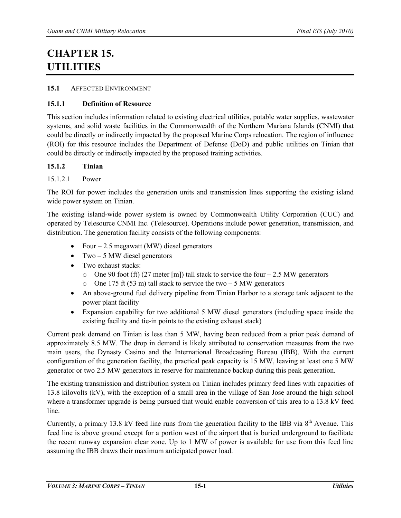# **CHAPTER 15. UTILITIES**

### **15.1** AFFECTED ENVIRONMENT

### **15.1.1 Definition of Resource**

This section includes information related to existing electrical utilities, potable water supplies, wastewater systems, and solid waste facilities in the Commonwealth of the Northern Mariana Islands (CNMI) that could be directly or indirectly impacted by the proposed Marine Corps relocation. The region of influence (ROI) for this resource includes the Department of Defense (DoD) and public utilities on Tinian that could be directly or indirectly impacted by the proposed training activities.

### **15.1.2 Tinian**

### 15.1.2.1 Power

The ROI for power includes the generation units and transmission lines supporting the existing island wide power system on Tinian.

The existing island-wide power system is owned by Commonwealth Utility Corporation (CUC) and operated by Telesource CNMI Inc. (Telesource). Operations include power generation, transmission, and distribution. The generation facility consists of the following components:

- Four  $-2.5$  megawatt (MW) diesel generators
- Two  $-5$  MW diesel generators
- Two exhaust stacks:
	- $\circ$  One 90 foot (ft) (27 meter [m]) tall stack to service the four 2.5 MW generators
	- o One 175 ft (53 m) tall stack to service the two  $-5$  MW generators
- An above-ground fuel delivery pipeline from Tinian Harbor to a storage tank adjacent to the power plant facility
- Expansion capability for two additional 5 MW diesel generators (including space inside the existing facility and tie-in points to the existing exhaust stack)

Current peak demand on Tinian is less than 5 MW, having been reduced from a prior peak demand of approximately 8.5 MW. The drop in demand is likely attributed to conservation measures from the two main users, the Dynasty Casino and the International Broadcasting Bureau (IBB). With the current configuration of the generation facility, the practical peak capacity is 15 MW, leaving at least one 5 MW generator or two 2.5 MW generators in reserve for maintenance backup during this peak generation.

The existing transmission and distribution system on Tinian includes primary feed lines with capacities of 13.8 kilovolts (kV), with the exception of a small area in the village of San Jose around the high school where a transformer upgrade is being pursued that would enable conversion of this area to a 13.8 kV feed line.

Currently, a primary 13.8 kV feed line runs from the generation facility to the IBB via  $8<sup>th</sup>$  Avenue. This feed line is above ground except for a portion west of the airport that is buried underground to facilitate the recent runway expansion clear zone. Up to 1 MW of power is available for use from this feed line assuming the IBB draws their maximum anticipated power load.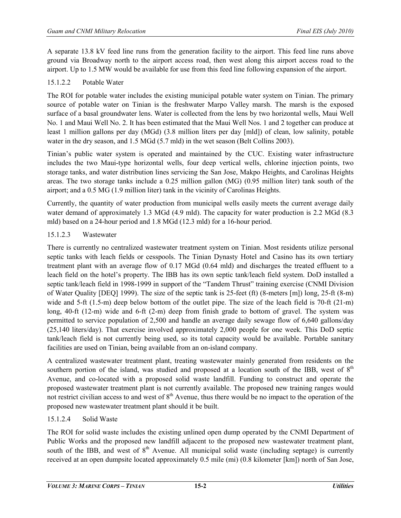A separate 13.8 kV feed line runs from the generation facility to the airport. This feed line runs above ground via Broadway north to the airport access road, then west along this airport access road to the airport. Up to 1.5 MW would be available for use from this feed line following expansion of the airport.

# 15.1.2.2 Potable Water

The ROI for potable water includes the existing municipal potable water system on Tinian. The primary source of potable water on Tinian is the freshwater Marpo Valley marsh. The marsh is the exposed surface of a basal groundwater lens. Water is collected from the lens by two horizontal wells, Maui Well No. 1 and Maui Well No. 2. It has been estimated that the Maui Well Nos. 1 and 2 together can produce at least 1 million gallons per day (MGd) (3.8 million liters per day [mld]) of clean, low salinity, potable water in the dry season, and 1.5 MGd (5.7 mld) in the wet season (Belt Collins 2003).

Tinian's public water system is operated and maintained by the CUC. Existing water infrastructure includes the two Maui-type horizontal wells, four deep vertical wells, chlorine injection points, two storage tanks, and water distribution lines servicing the San Jose, Makpo Heights, and Carolinas Heights areas. The two storage tanks include a 0.25 million gallon (MG) (0.95 million liter) tank south of the airport; and a 0.5 MG (1.9 million liter) tank in the vicinity of Carolinas Heights.

Currently, the quantity of water production from municipal wells easily meets the current average daily water demand of approximately 1.3 MGd (4.9 mld). The capacity for water production is 2.2 MGd (8.3 mld) based on a 24-hour period and 1.8 MGd (12.3 mld) for a 16-hour period.

### 15.1.2.3 Wastewater

There is currently no centralized wastewater treatment system on Tinian. Most residents utilize personal septic tanks with leach fields or cesspools. The Tinian Dynasty Hotel and Casino has its own tertiary treatment plant with an average flow of 0.17 MGd (0.64 mld) and discharges the treated effluent to a leach field on the hotel's property. The IBB has its own septic tank/leach field system. DoD installed a septic tank/leach field in 1998-1999 in support of the "Tandem Thrust" training exercise (CNMI Division of Water Quality [DEQ] 1999). The size of the septic tank is 25-feet (ft) (8-meters [m]) long, 25-ft (8-m) wide and 5-ft (1.5-m) deep below bottom of the outlet pipe. The size of the leach field is 70-ft (21-m) long, 40-ft (12-m) wide and 6-ft (2-m) deep from finish grade to bottom of gravel. The system was permitted to service population of 2,500 and handle an average daily sewage flow of 6,640 gallons/day (25,140 liters/day). That exercise involved approximately 2,000 people for one week. This DoD septic tank/leach field is not currently being used, so its total capacity would be available. Portable sanitary facilities are used on Tinian, being available from an on-island company.

A centralized wastewater treatment plant, treating wastewater mainly generated from residents on the southern portion of the island, was studied and proposed at a location south of the IBB, west of  $8<sup>th</sup>$ Avenue, and co-located with a proposed solid waste landfill. Funding to construct and operate the proposed wastewater treatment plant is not currently available. The proposed new training ranges would not restrict civilian access to and west of  $8<sup>th</sup>$  Avenue, thus there would be no impact to the operation of the proposed new wastewater treatment plant should it be built.

# 15.1.2.4 Solid Waste

The ROI for solid waste includes the existing unlined open dump operated by the CNMI Department of Public Works and the proposed new landfill adjacent to the proposed new wastewater treatment plant, south of the IBB, and west of  $8<sup>th</sup>$  Avenue. All municipal solid waste (including septage) is currently received at an open dumpsite located approximately 0.5 mile (mi) (0.8 kilometer [km]) north of San Jose,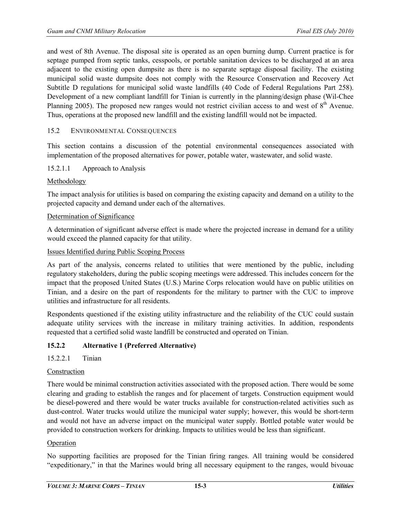and west of 8th Avenue. The disposal site is operated as an open burning dump. Current practice is for septage pumped from septic tanks, cesspools, or portable sanitation devices to be discharged at an area adjacent to the existing open dumpsite as there is no separate septage disposal facility. The existing municipal solid waste dumpsite does not comply with the Resource Conservation and Recovery Act Subtitle D regulations for municipal solid waste landfills (40 Code of Federal Regulations Part 258). Development of a new compliant landfill for Tinian is currently in the planning/design phase (Wil-Chee Planning 2005). The proposed new ranges would not restrict civilian access to and west of  $8<sup>th</sup>$  Avenue. Thus, operations at the proposed new landfill and the existing landfill would not be impacted.

### 15.2 ENVIRONMENTAL CONSEQUENCES

This section contains a discussion of the potential environmental consequences associated with implementation of the proposed alternatives for power, potable water, wastewater, and solid waste.

#### 15.2.1.1 Approach to Analysis

### Methodology

The impact analysis for utilities is based on comparing the existing capacity and demand on a utility to the projected capacity and demand under each of the alternatives.

#### Determination of Significance

A determination of significant adverse effect is made where the projected increase in demand for a utility would exceed the planned capacity for that utility.

#### Issues Identified during Public Scoping Process

As part of the analysis, concerns related to utilities that were mentioned by the public, including regulatory stakeholders, during the public scoping meetings were addressed. This includes concern for the impact that the proposed United States (U.S.) Marine Corps relocation would have on public utilities on Tinian, and a desire on the part of respondents for the military to partner with the CUC to improve utilities and infrastructure for all residents.

Respondents questioned if the existing utility infrastructure and the reliability of the CUC could sustain adequate utility services with the increase in military training activities. In addition, respondents requested that a certified solid waste landfill be constructed and operated on Tinian.

### **15.2.2 Alternative 1 (Preferred Alternative)**

15.2.2.1 Tinian

#### Construction

There would be minimal construction activities associated with the proposed action. There would be some clearing and grading to establish the ranges and for placement of targets. Construction equipment would be diesel-powered and there would be water trucks available for construction-related activities such as dust-control. Water trucks would utilize the municipal water supply; however, this would be short-term and would not have an adverse impact on the municipal water supply. Bottled potable water would be provided to construction workers for drinking. Impacts to utilities would be less than significant.

#### Operation

No supporting facilities are proposed for the Tinian firing ranges. All training would be considered "expeditionary," in that the Marines would bring all necessary equipment to the ranges, would bivouac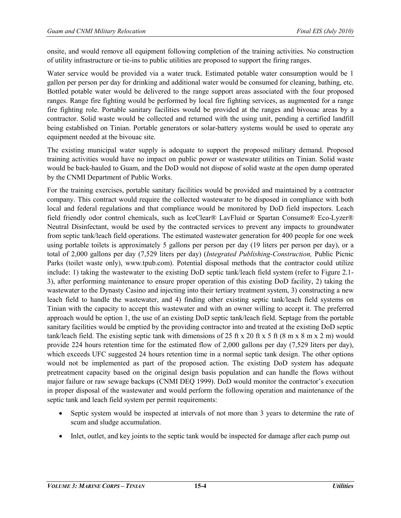onsite, and would remove all equipment following completion of the training activities. No construction of utility infrastructure or tie-ins to public utilities are proposed to support the firing ranges.

Water service would be provided via a water truck. Estimated potable water consumption would be 1 gallon per person per day for drinking and additional water would be consumed for cleaning, bathing, etc. Bottled potable water would be delivered to the range support areas associated with the four proposed ranges. Range fire fighting would be performed by local fire fighting services, as augmented for a range fire fighting role. Portable sanitary facilities would be provided at the ranges and bivouac areas by a contractor. Solid waste would be collected and returned with the using unit, pending a certified landfill being established on Tinian. Portable generators or solar-battery systems would be used to operate any equipment needed at the bivouac site.

The existing municipal water supply is adequate to support the proposed military demand. Proposed training activities would have no impact on public power or wastewater utilities on Tinian. Solid waste would be back-hauled to Guam, and the DoD would not dispose of solid waste at the open dump operated by the CNMI Department of Public Works.

For the training exercises, portable sanitary facilities would be provided and maintained by a contractor company. This contract would require the collected wastewater to be disposed in compliance with both local and federal regulations and that compliance would be monitored by DoD field inspectors. Leach field friendly odor control chemicals, such as IceClear® LavFluid or Spartan Consume® Eco-Lyzer® Neutral Disinfectant, would be used by the contracted services to prevent any impacts to groundwater from septic tank/leach field operations. The estimated wastewater generation for 400 people for one week using portable toilets is approximately 5 gallons per person per day (19 liters per person per day), or a total of 2,000 gallons per day (7,529 liters per day) (*Integrated Publishing-Construction,* Public Picnic Parks (toilet waste only), www.tpub.com). Potential disposal methods that the contractor could utilize include: 1) taking the wastewater to the existing DoD septic tank/leach field system (refer to Figure 2.1- 3), after performing maintenance to ensure proper operation of this existing DoD facility, 2) taking the wastewater to the Dynasty Casino and injecting into their tertiary treatment system, 3) constructing a new leach field to handle the wastewater, and 4) finding other existing septic tank/leach field systems on Tinian with the capacity to accept this wastewater and with an owner willing to accept it. The preferred approach would be option 1, the use of an existing DoD septic tank/leach field. Septage from the portable sanitary facilities would be emptied by the providing contractor into and treated at the existing DoD septic tank/leach field. The existing septic tank with dimensions of 25 ft x 20 ft x 5 ft (8 m x 8 m x 2 m) would provide 224 hours retention time for the estimated flow of 2,000 gallons per day (7,529 liters per day), which exceeds UFC suggested 24 hours retention time in a normal septic tank design. The other options would not be implemented as part of the proposed action. The existing DoD system has adequate pretreatment capacity based on the original design basis population and can handle the flows without major failure or raw sewage backups (CNMI DEQ 1999). DoD would monitor the contractor's execution in proper disposal of the wastewater and would perform the following operation and maintenance of the septic tank and leach field system per permit requirements:

- Septic system would be inspected at intervals of not more than 3 years to determine the rate of scum and sludge accumulation.
- Inlet, outlet, and key joints to the septic tank would be inspected for damage after each pump out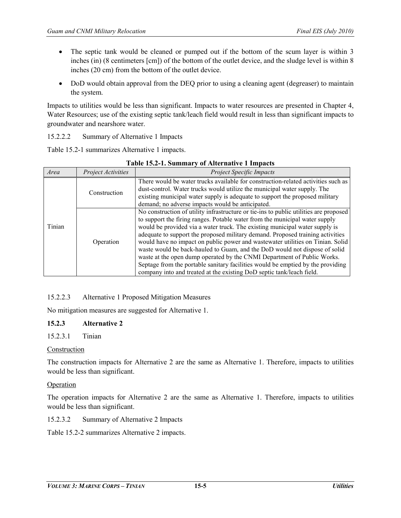- The septic tank would be cleaned or pumped out if the bottom of the scum layer is within 3 inches (in) (8 centimeters [cm]) of the bottom of the outlet device, and the sludge level is within 8 inches (20 cm) from the bottom of the outlet device.
- DoD would obtain approval from the DEQ prior to using a cleaning agent (degreaser) to maintain the system.

Impacts to utilities would be less than significant. Impacts to water resources are presented in Chapter 4, Water Resources; use of the existing septic tank/leach field would result in less than significant impacts to groundwater and nearshore water.

### 15.2.2.2 Summary of Alternative 1 Impacts

Table 15.2-1 summarizes Alternative 1 impacts.

| $\sigma$ . There have $\sigma$ is the pace $\sigma$ |                           |                                                                                                                                                                                                                                                                                                                                                                                                                                                                                                                                                                                                                                                                                                                                              |  |  |  |
|-----------------------------------------------------|---------------------------|----------------------------------------------------------------------------------------------------------------------------------------------------------------------------------------------------------------------------------------------------------------------------------------------------------------------------------------------------------------------------------------------------------------------------------------------------------------------------------------------------------------------------------------------------------------------------------------------------------------------------------------------------------------------------------------------------------------------------------------------|--|--|--|
| Area                                                | <b>Project Activities</b> | <b>Project Specific Impacts</b>                                                                                                                                                                                                                                                                                                                                                                                                                                                                                                                                                                                                                                                                                                              |  |  |  |
|                                                     | Construction              | There would be water trucks available for construction-related activities such as<br>dust-control. Water trucks would utilize the municipal water supply. The<br>existing municipal water supply is adequate to support the proposed military<br>demand; no adverse impacts would be anticipated.                                                                                                                                                                                                                                                                                                                                                                                                                                            |  |  |  |
| Tinian                                              | Operation                 | No construction of utility infrastructure or tie-ins to public utilities are proposed<br>to support the firing ranges. Potable water from the municipal water supply<br>would be provided via a water truck. The existing municipal water supply is<br>adequate to support the proposed military demand. Proposed training activities<br>would have no impact on public power and wastewater utilities on Tinian. Solid<br>waste would be back-hauled to Guam, and the DoD would not dispose of solid<br>waste at the open dump operated by the CNMI Department of Public Works.<br>Septage from the portable sanitary facilities would be emptied by the providing<br>company into and treated at the existing DoD septic tank/leach field. |  |  |  |

#### **Table 15.2-1. Summary of Alternative 1 Impacts**

# 15.2.2.3 Alternative 1 Proposed Mitigation Measures

No mitigation measures are suggested for Alternative 1.

### **15.2.3 Alternative 2**

15.2.3.1 Tinian

### Construction

The construction impacts for Alternative 2 are the same as Alternative 1. Therefore, impacts to utilities would be less than significant.

### Operation

The operation impacts for Alternative 2 are the same as Alternative 1. Therefore, impacts to utilities would be less than significant.

15.2.3.2 Summary of Alternative 2 Impacts

Table 15.2-2 summarizes Alternative 2 impacts.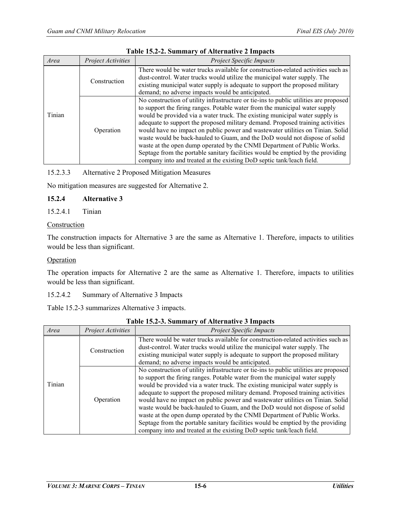| Area   | Project Activities | Project Specific Impacts                                                                                                                                                                                                                                                                                                                                                                                                                                                                                                                                                                                                                                                                                                                     |  |  |
|--------|--------------------|----------------------------------------------------------------------------------------------------------------------------------------------------------------------------------------------------------------------------------------------------------------------------------------------------------------------------------------------------------------------------------------------------------------------------------------------------------------------------------------------------------------------------------------------------------------------------------------------------------------------------------------------------------------------------------------------------------------------------------------------|--|--|
| Tinian | Construction       | There would be water trucks available for construction-related activities such as<br>dust-control. Water trucks would utilize the municipal water supply. The<br>existing municipal water supply is adequate to support the proposed military<br>demand; no adverse impacts would be anticipated.                                                                                                                                                                                                                                                                                                                                                                                                                                            |  |  |
|        | Operation          | No construction of utility infrastructure or tie-ins to public utilities are proposed<br>to support the firing ranges. Potable water from the municipal water supply<br>would be provided via a water truck. The existing municipal water supply is<br>adequate to support the proposed military demand. Proposed training activities<br>would have no impact on public power and wastewater utilities on Tinian. Solid<br>waste would be back-hauled to Guam, and the DoD would not dispose of solid<br>waste at the open dump operated by the CNMI Department of Public Works.<br>Septage from the portable sanitary facilities would be emptied by the providing<br>company into and treated at the existing DoD septic tank/leach field. |  |  |

### **Table 15.2-2. Summary of Alternative 2 Impacts**

# 15.2.3.3 Alternative 2 Proposed Mitigation Measures

No mitigation measures are suggested for Alternative 2.

### **15.2.4 Alternative 3**

### 15.2.4.1 Tinian

### Construction

The construction impacts for Alternative 3 are the same as Alternative 1. Therefore, impacts to utilities would be less than significant.

#### Operation

The operation impacts for Alternative 2 are the same as Alternative 1. Therefore, impacts to utilities would be less than significant.

### 15.2.4.2 Summary of Alternative 3 Impacts

Table 15.2-3 summarizes Alternative 3 impacts.

| Area   | <b>Project Activities</b> | <b>Project Specific Impacts</b>                                                                                                                                                                                                                                                                                                                                                                                                                                                                                                                                                                                                                                                                                                              |  |
|--------|---------------------------|----------------------------------------------------------------------------------------------------------------------------------------------------------------------------------------------------------------------------------------------------------------------------------------------------------------------------------------------------------------------------------------------------------------------------------------------------------------------------------------------------------------------------------------------------------------------------------------------------------------------------------------------------------------------------------------------------------------------------------------------|--|
|        | Construction              | There would be water trucks available for construction-related activities such as<br>dust-control. Water trucks would utilize the municipal water supply. The<br>existing municipal water supply is adequate to support the proposed military<br>demand; no adverse impacts would be anticipated.                                                                                                                                                                                                                                                                                                                                                                                                                                            |  |
| Tinian | Operation                 | No construction of utility infrastructure or tie-ins to public utilities are proposed<br>to support the firing ranges. Potable water from the municipal water supply<br>would be provided via a water truck. The existing municipal water supply is<br>adequate to support the proposed military demand. Proposed training activities<br>would have no impact on public power and wastewater utilities on Tinian. Solid<br>waste would be back-hauled to Guam, and the DoD would not dispose of solid<br>waste at the open dump operated by the CNMI Department of Public Works.<br>Septage from the portable sanitary facilities would be emptied by the providing<br>company into and treated at the existing DoD septic tank/leach field. |  |

#### **Table 15.2-3. Summary of Alternative 3 Impacts**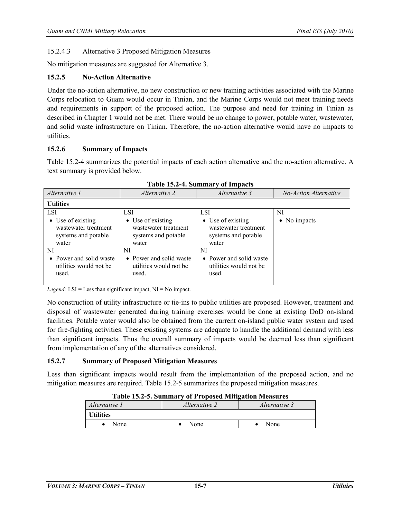# 15.2.4.3 Alternative 3 Proposed Mitigation Measures

No mitigation measures are suggested for Alternative 3.

# **15.2.5 No-Action Alternative**

Under the no-action alternative, no new construction or new training activities associated with the Marine Corps relocation to Guam would occur in Tinian, and the Marine Corps would not meet training needs and requirements in support of the proposed action. The purpose and need for training in Tinian as described in Chapter 1 would not be met. There would be no change to power, potable water, wastewater, and solid waste infrastructure on Tinian. Therefore, the no-action alternative would have no impacts to utilities.

# **15.2.6 Summary of Impacts**

Table 15.2-4 summarizes the potential impacts of each action alternative and the no-action alternative. A text summary is provided below.

| Alternative 1                                                                                                                                        | <i>Alternative 2</i>                                                                                                                                        | Alternative 3                                                                                                                                               | No-Action Alternative |  |  |  |  |
|------------------------------------------------------------------------------------------------------------------------------------------------------|-------------------------------------------------------------------------------------------------------------------------------------------------------------|-------------------------------------------------------------------------------------------------------------------------------------------------------------|-----------------------|--|--|--|--|
| <b>Utilities</b>                                                                                                                                     |                                                                                                                                                             |                                                                                                                                                             |                       |  |  |  |  |
| LSI<br>• Use of existing<br>wastewater treatment<br>systems and potable<br>water<br>NI<br>• Power and solid waste<br>utilities would not be<br>used. | <b>LSI</b><br>• Use of existing<br>wastewater treatment<br>systems and potable<br>water<br>NI<br>• Power and solid waste<br>utilities would not be<br>used. | <b>LSI</b><br>• Use of existing<br>wastewater treatment<br>systems and potable<br>water<br>NI<br>• Power and solid waste<br>utilities would not be<br>used. | NI<br>• No impacts    |  |  |  |  |

*Legend:* LSI = Less than significant impact, NI = No impact.

No construction of utility infrastructure or tie-ins to public utilities are proposed. However, treatment and disposal of wastewater generated during training exercises would be done at existing DoD on-island facilities. Potable water would also be obtained from the current on-island public water system and used for fire-fighting activities. These existing systems are adequate to handle the additional demand with less than significant impacts. Thus the overall summary of impacts would be deemed less than significant from implementation of any of the alternatives considered.

# **15.2.7 Summary of Proposed Mitigation Measures**

Less than significant impacts would result from the implementation of the proposed action, and no mitigation measures are required. Table 15.2-5 summarizes the proposed mitigation measures.

| Table 19.2-9. Summary of Froposcu britigation bicasures |                      |               |  |  |  |  |
|---------------------------------------------------------|----------------------|---------------|--|--|--|--|
| Alternative 1                                           | <i>Alternative 2</i> | Alternative 3 |  |  |  |  |
| <b>Utilities</b>                                        |                      |               |  |  |  |  |
| None                                                    | None                 | None          |  |  |  |  |

**Table 15.2-5. Summary of Proposed Mitigation Measures**